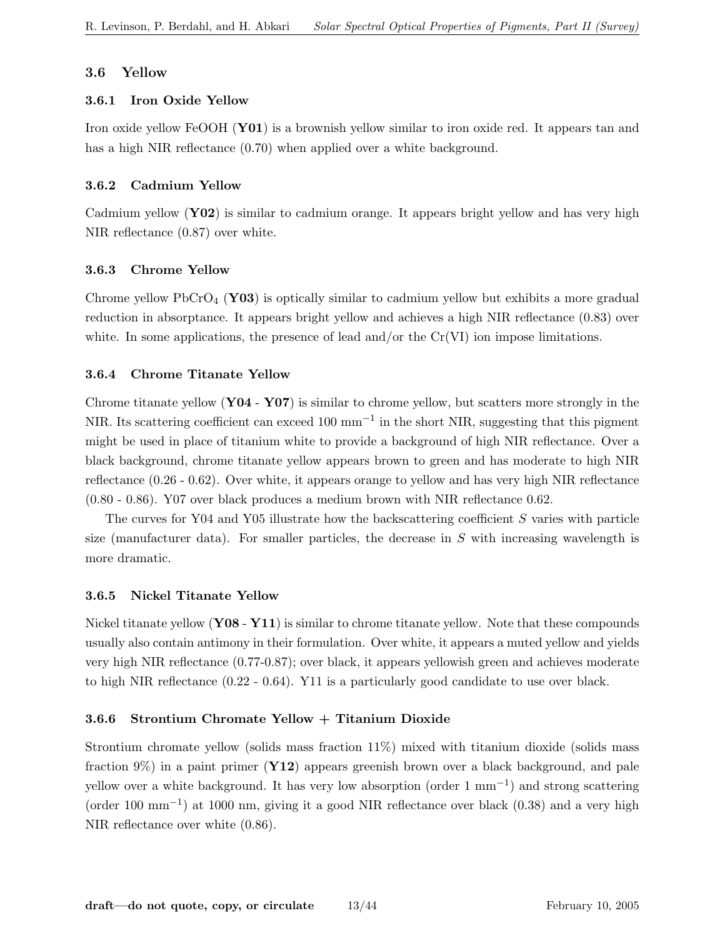# 3.6 Yellow

# 3.6.1 Iron Oxide Yellow

Iron oxide yellow FeOOH (Y01) is a brownish yellow similar to iron oxide red. It appears tan and has a high NIR reflectance  $(0.70)$  when applied over a white background.

## 3.6.2 Cadmium Yellow

Cadmium yellow (Y02) is similar to cadmium orange. It appears bright yellow and has very high NIR reflectance (0.87) over white.

## 3.6.3 Chrome Yellow

Chrome yellow PbCrO<sub>4</sub> (Y03) is optically similar to cadmium yellow but exhibits a more gradual reduction in absorptance. It appears bright yellow and achieves a high NIR reflectance (0.83) over white. In some applications, the presence of lead and/or the  $Cr(VI)$  ion impose limitations.

## 3.6.4 Chrome Titanate Yellow

Chrome titanate yellow  $(\textbf{Y04 - Y07})$  is similar to chrome yellow, but scatters more strongly in the NIR. Its scattering coefficient can exceed  $100 \text{ mm}^{-1}$  in the short NIR, suggesting that this pigment might be used in place of titanium white to provide a background of high NIR reflectance. Over a black background, chrome titanate yellow appears brown to green and has moderate to high NIR reflectance (0.26 - 0.62). Over white, it appears orange to yellow and has very high NIR reflectance (0.80 - 0.86). Y07 over black produces a medium brown with NIR reflectance 0.62.

The curves for Y04 and Y05 illustrate how the backscattering coefficient S varies with particle size (manufacturer data). For smaller particles, the decrease in  $S$  with increasing wavelength is more dramatic.

#### 3.6.5 Nickel Titanate Yellow

Nickel titanate yellow  $(Y08 - Y11)$  is similar to chrome titanate yellow. Note that these compounds usually also contain antimony in their formulation. Over white, it appears a muted yellow and yields very high NIR reflectance (0.77-0.87); over black, it appears yellowish green and achieves moderate to high NIR reflectance (0.22 - 0.64). Y11 is a particularly good candidate to use over black.

#### 3.6.6 Strontium Chromate Yellow + Titanium Dioxide

Strontium chromate yellow (solids mass fraction 11%) mixed with titanium dioxide (solids mass fraction  $9\%$ ) in a paint primer (Y12) appears greenish brown over a black background, and pale yellow over a white background. It has very low absorption (order 1 mm−<sup>1</sup> ) and strong scattering (order 100 mm−<sup>1</sup> ) at 1000 nm, giving it a good NIR reflectance over black (0.38) and a very high NIR reflectance over white (0.86).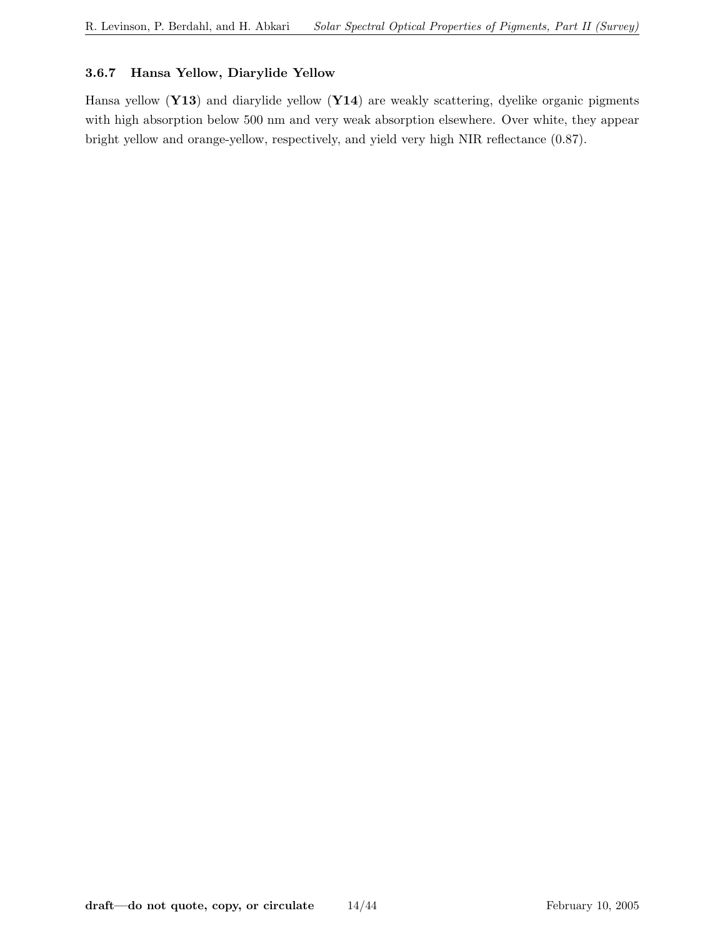## 3.6.7 Hansa Yellow, Diarylide Yellow

Hansa yellow (Y13) and diarylide yellow (Y14) are weakly scattering, dyelike organic pigments with high absorption below 500 nm and very weak absorption elsewhere. Over white, they appear bright yellow and orange-yellow, respectively, and yield very high NIR reflectance (0.87).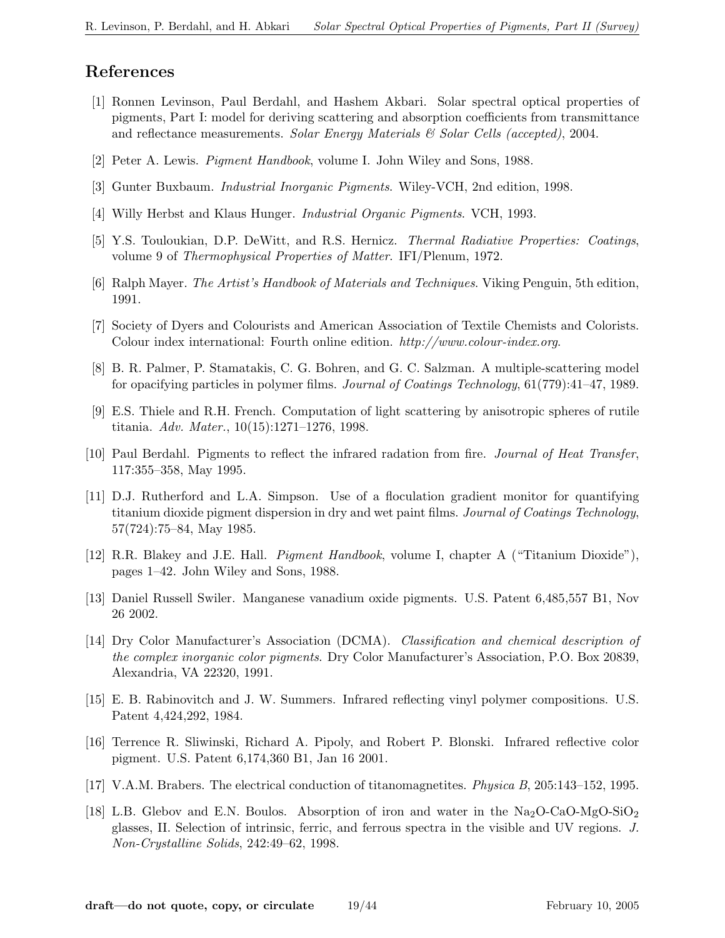# References

- [1] Ronnen Levinson, Paul Berdahl, and Hashem Akbari. Solar spectral optical properties of pigments, Part I: model for deriving scattering and absorption coefficients from transmittance and reflectance measurements. Solar Energy Materials  $\mathcal{C}'$  Solar Cells (accepted), 2004.
- [2] Peter A. Lewis. Pigment Handbook, volume I. John Wiley and Sons, 1988.
- [3] Gunter Buxbaum. Industrial Inorganic Pigments. Wiley-VCH, 2nd edition, 1998.
- [4] Willy Herbst and Klaus Hunger. Industrial Organic Pigments. VCH, 1993.
- [5] Y.S. Touloukian, D.P. DeWitt, and R.S. Hernicz. Thermal Radiative Properties: Coatings, volume 9 of Thermophysical Properties of Matter. IFI/Plenum, 1972.
- [6] Ralph Mayer. The Artist's Handbook of Materials and Techniques. Viking Penguin, 5th edition, 1991.
- [7] Society of Dyers and Colourists and American Association of Textile Chemists and Colorists. Colour index international: Fourth online edition. http://www.colour-index.org.
- [8] B. R. Palmer, P. Stamatakis, C. G. Bohren, and G. C. Salzman. A multiple-scattering model for opacifying particles in polymer films. Journal of Coatings Technology, 61(779):41–47, 1989.
- [9] E.S. Thiele and R.H. French. Computation of light scattering by anisotropic spheres of rutile titania. Adv. Mater., 10(15):1271–1276, 1998.
- [10] Paul Berdahl. Pigments to reflect the infrared radation from fire. Journal of Heat Transfer, 117:355–358, May 1995.
- [11] D.J. Rutherford and L.A. Simpson. Use of a floculation gradient monitor for quantifying titanium dioxide pigment dispersion in dry and wet paint films. Journal of Coatings Technology, 57(724):75–84, May 1985.
- [12] R.R. Blakey and J.E. Hall. Pigment Handbook, volume I, chapter A ("Titanium Dioxide"), pages 1–42. John Wiley and Sons, 1988.
- [13] Daniel Russell Swiler. Manganese vanadium oxide pigments. U.S. Patent 6,485,557 B1, Nov 26 2002.
- [14] Dry Color Manufacturer's Association (DCMA). Classification and chemical description of the complex inorganic color pigments. Dry Color Manufacturer's Association, P.O. Box 20839, Alexandria, VA 22320, 1991.
- [15] E. B. Rabinovitch and J. W. Summers. Infrared reflecting vinyl polymer compositions. U.S. Patent 4,424,292, 1984.
- [16] Terrence R. Sliwinski, Richard A. Pipoly, and Robert P. Blonski. Infrared reflective color pigment. U.S. Patent 6,174,360 B1, Jan 16 2001.
- [17] V.A.M. Brabers. The electrical conduction of titanomagnetites. Physica B, 205:143–152, 1995.
- [18] L.B. Glebov and E.N. Boulos. Absorption of iron and water in the  $\text{Na}_2\text{O}$ -CaO-MgO-SiO<sub>2</sub> glasses, II. Selection of intrinsic, ferric, and ferrous spectra in the visible and UV regions. J. Non-Crystalline Solids, 242:49–62, 1998.